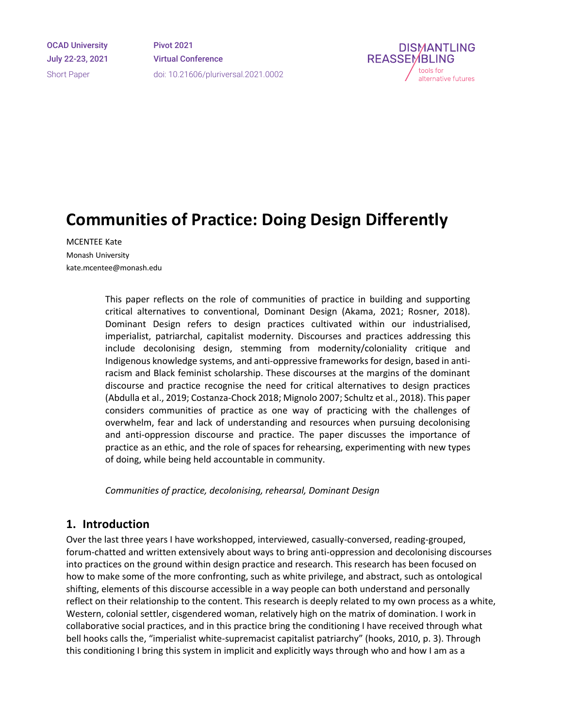OCAD University July 22-23, 2021 Short Paper

Pivot 2021 Virtual Conference doi: 10.21606/pluriversal.2021.0002



# **Communities of Practice: Doing Design Differently**

MCENTEE Kate Monash University kate.mcentee@monash.edu

> This paper reflects on the role of communities of practice in building and supporting critical alternatives to conventional, Dominant Design (Akama, 2021; Rosner, 2018). Dominant Design refers to design practices cultivated within our industrialised, imperialist, patriarchal, capitalist modernity. Discourses and practices addressing this include decolonising design, stemming from modernity/coloniality critique and Indigenous knowledge systems, and anti-oppressive frameworks for design, based in antiracism and Black feminist scholarship. These discourses at the margins of the dominant discourse and practice recognise the need for critical alternatives to design practices (Abdulla et al., 2019; Costanza-Chock 2018; Mignolo 2007; Schultz et al., 2018). This paper considers communities of practice as one way of practicing with the challenges of overwhelm, fear and lack of understanding and resources when pursuing decolonising and anti-oppression discourse and practice. The paper discusses the importance of practice as an ethic, and the role of spaces for rehearsing, experimenting with new types of doing, while being held accountable in community.

*Communities of practice, decolonising, rehearsal, Dominant Design*

#### **1. Introduction**

Over the last three years I have workshopped, interviewed, casually-conversed, reading-grouped, forum-chatted and written extensively about ways to bring anti-oppression and decolonising discourses into practices on the ground within design practice and research. This research has been focused on how to make some of the more confronting, such as white privilege, and abstract, such as ontological shifting, elements of this discourse accessible in a way people can both understand and personally reflect on their relationship to the content. This research is deeply related to my own process as a white, Western, colonial settler, cisgendered woman, relatively high on the matrix of domination. I work in collaborative social practices, and in this practice bring the conditioning I have received through what bell hooks calls the, "imperialist white-supremacist capitalist patriarchy" (hooks, 2010, p. 3). Through this conditioning I bring this system in implicit and explicitly ways through who and how I am as a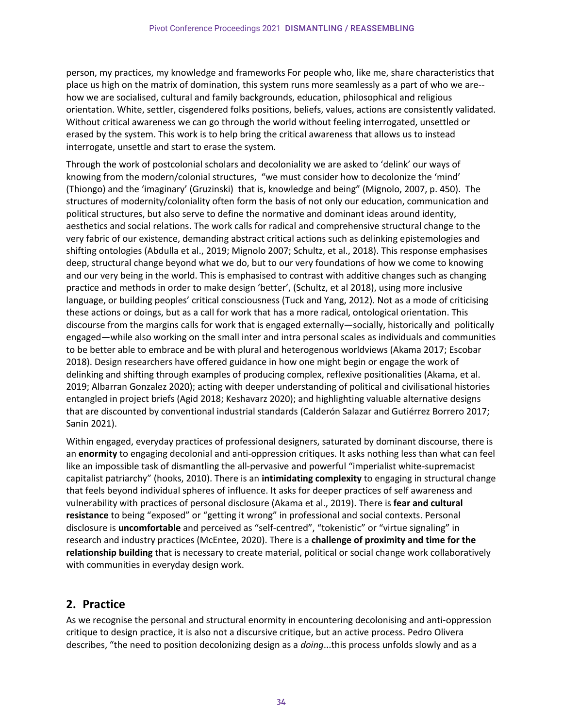person, my practices, my knowledge and frameworks For people who, like me, share characteristics that place us high on the matrix of domination, this system runs more seamlessly as a part of who we are- how we are socialised, cultural and family backgrounds, education, philosophical and religious orientation. White, settler, cisgendered folks positions, beliefs, values, actions are consistently validated. Without critical awareness we can go through the world without feeling interrogated, unsettled or erased by the system. This work is to help bring the critical awareness that allows us to instead interrogate, unsettle and start to erase the system.

Through the work of postcolonial scholars and decoloniality we are asked to 'delink' our ways of knowing from the modern/colonial structures, "we must consider how to decolonize the 'mind' (Thiongo) and the 'imaginary' (Gruzinski) that is, knowledge and being" (Mignolo, 2007, p. 450). The structures of modernity/coloniality often form the basis of not only our education, communication and political structures, but also serve to define the normative and dominant ideas around identity, aesthetics and social relations. The work calls for radical and comprehensive structural change to the very fabric of our existence, demanding abstract critical actions such as delinking epistemologies and shifting ontologies (Abdulla et al., 2019; Mignolo 2007; Schultz, et al., 2018). This response emphasises deep, structural change beyond what we do, but to our very foundations of how we come to knowing and our very being in the world. This is emphasised to contrast with additive changes such as changing practice and methods in order to make design 'better', (Schultz, et al 2018), using more inclusive language, or building peoples' critical consciousness (Tuck and Yang, 2012). Not as a mode of criticising these actions or doings, but as a call for work that has a more radical, ontological orientation. This discourse from the margins calls for work that is engaged externally—socially, historically and politically engaged—while also working on the small inter and intra personal scales as individuals and communities to be better able to embrace and be with plural and heterogenous worldviews (Akama 2017; Escobar 2018). Design researchers have offered guidance in how one might begin or engage the work of delinking and shifting through examples of producing complex, reflexive positionalities (Akama, et al. 2019; Albarran Gonzalez 2020); acting with deeper understanding of political and civilisational histories entangled in project briefs (Agid 2018; Keshavarz 2020); and highlighting valuable alternative designs that are discounted by conventional industrial standards (Calderón Salazar and Gutiérrez Borrero 2017; Sanin 2021).

Within engaged, everyday practices of professional designers, saturated by dominant discourse, there is an **enormity** to engaging decolonial and anti-oppression critiques. It asks nothing less than what can feel like an impossible task of dismantling the all-pervasive and powerful "imperialist white-supremacist capitalist patriarchy" (hooks, 2010). There is an **intimidating complexity** to engaging in structural change that feels beyond individual spheres of influence. It asks for deeper practices of self awareness and vulnerability with practices of personal disclosure (Akama et al., 2019). There is **fear and cultural resistance** to being "exposed" or "getting it wrong" in professional and social contexts. Personal disclosure is **uncomfortable** and perceived as "self-centred", "tokenistic" or "virtue signaling" in research and industry practices (McEntee, 2020). There is a **challenge of proximity and time for the relationship building** that is necessary to create material, political or social change work collaboratively with communities in everyday design work.

## **2. Practice**

As we recognise the personal and structural enormity in encountering decolonising and anti-oppression critique to design practice, it is also not a discursive critique, but an active process. Pedro Olivera describes, "the need to position decolonizing design as a *doing*...this process unfolds slowly and as a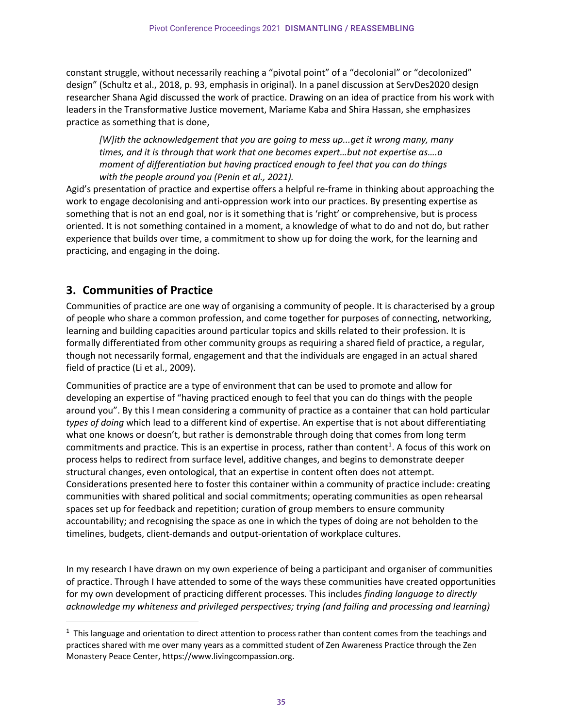constant struggle, without necessarily reaching a "pivotal point" of a "decolonial" or "decolonized" design" (Schultz et al., 2018, p. 93, emphasis in original). In a panel discussion at ServDes2020 design researcher Shana Agid discussed the work of practice. Drawing on an idea of practice from his work with leaders in the Transformative Justice movement, Mariame Kaba and Shira Hassan, she emphasizes practice as something that is done,

*[W]ith the acknowledgement that you are going to mess up...get it wrong many, many times, and it is through that work that one becomes expert…but not expertise as….a moment of differentiation but having practiced enough to feel that you can do things with the people around you (Penin et al., 2021).* 

Agid's presentation of practice and expertise offers a helpful re-frame in thinking about approaching the work to engage decolonising and anti-oppression work into our practices. By presenting expertise as something that is not an end goal, nor is it something that is 'right' or comprehensive, but is process oriented. It is not something contained in a moment, a knowledge of what to do and not do, but rather experience that builds over time, a commitment to show up for doing the work, for the learning and practicing, and engaging in the doing.

## **3. Communities of Practice**

Communities of practice are one way of organising a community of people. It is characterised by a group of people who share a common profession, and come together for purposes of connecting, networking, learning and building capacities around particular topics and skills related to their profession. It is formally differentiated from other community groups as requiring a shared field of practice, a regular, though not necessarily formal, engagement and that the individuals are engaged in an actual shared field of practice (Li et al., 2009).

Communities of practice are a type of environment that can be used to promote and allow for developing an expertise of "having practiced enough to feel that you can do things with the people around you". By this I mean considering a community of practice as a container that can hold particular *types of doing* which lead to a different kind of expertise. An expertise that is not about differentiating what one knows or doesn't, but rather is demonstrable through doing that comes from long term commitments and practice. This is an expertise in process, rather than content<sup>1</sup>. A focus of this work on process helps to redirect from surface level, additive changes, and begins to demonstrate deeper structural changes, even ontological, that an expertise in content often does not attempt. Considerations presented here to foster this container within a community of practice include: creating communities with shared political and social commitments; operating communities as open rehearsal spaces set up for feedback and repetition; curation of group members to ensure community accountability; and recognising the space as one in which the types of doing are not beholden to the timelines, budgets, client-demands and output-orientation of workplace cultures.

In my research I have drawn on my own experience of being a participant and organiser of communities of practice. Through I have attended to some of the ways these communities have created opportunities for my own development of practicing different processes. This includes *finding language to directly acknowledge my whiteness and privileged perspectives; trying (and failing and processing and learning)* 

 $1$  This language and orientation to direct attention to process rather than content comes from the teachings and practices shared with me over many years as a committed student of Zen Awareness Practice through the Zen Monastery Peace Center, https://www.livingcompassion.org.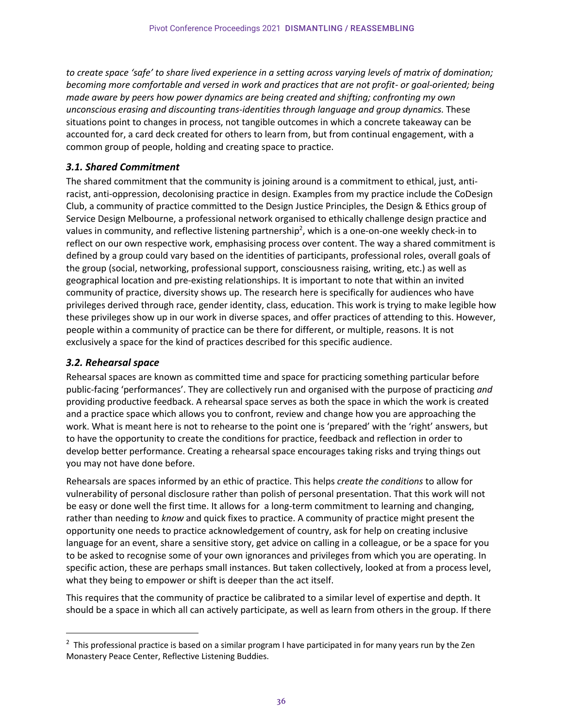*to create space 'safe' to share lived experience in a setting across varying levels of matrix of domination; becoming more comfortable and versed in work and practices that are not profit- or goal-oriented; being made aware by peers how power dynamics are being created and shifting; confronting my own unconscious erasing and discounting trans-identities through language and group dynamics.* These situations point to changes in process, not tangible outcomes in which a concrete takeaway can be accounted for, a card deck created for others to learn from, but from continual engagement, with a common group of people, holding and creating space to practice.

#### *3.1. Shared Commitment*

The shared commitment that the community is joining around is a commitment to ethical, just, antiracist, anti-oppression, decolonising practice in design. Examples from my practice include the CoDesign Club, a community of practice committed to the Design Justice Principles, the Design & Ethics group of Service Design Melbourne, a professional network organised to ethically challenge design practice and values in community, and reflective listening partnership<sup>2</sup>, which is a one-on-one weekly check-in to reflect on our own respective work, emphasising process over content. The way a shared commitment is defined by a group could vary based on the identities of participants, professional roles, overall goals of the group (social, networking, professional support, consciousness raising, writing, etc.) as well as geographical location and pre-existing relationships. It is important to note that within an invited community of practice, diversity shows up. The research here is specifically for audiences who have privileges derived through race, gender identity, class, education. This work is trying to make legible how these privileges show up in our work in diverse spaces, and offer practices of attending to this. However, people within a community of practice can be there for different, or multiple, reasons. It is not exclusively a space for the kind of practices described for this specific audience.

#### *3.2. Rehearsal space*

Rehearsal spaces are known as committed time and space for practicing something particular before public-facing 'performances'. They are collectively run and organised with the purpose of practicing *and* providing productive feedback. A rehearsal space serves as both the space in which the work is created and a practice space which allows you to confront, review and change how you are approaching the work. What is meant here is not to rehearse to the point one is 'prepared' with the 'right' answers, but to have the opportunity to create the conditions for practice, feedback and reflection in order to develop better performance. Creating a rehearsal space encourages taking risks and trying things out you may not have done before.

Rehearsals are spaces informed by an ethic of practice. This helps *create the conditions* to allow for vulnerability of personal disclosure rather than polish of personal presentation. That this work will not be easy or done well the first time. It allows for a long-term commitment to learning and changing, rather than needing to *know* and quick fixes to practice. A community of practice might present the opportunity one needs to practice acknowledgement of country, ask for help on creating inclusive language for an event, share a sensitive story, get advice on calling in a colleague, or be a space for you to be asked to recognise some of your own ignorances and privileges from which you are operating. In specific action, these are perhaps small instances. But taken collectively, looked at from a process level, what they being to empower or shift is deeper than the act itself.

This requires that the community of practice be calibrated to a similar level of expertise and depth. It should be a space in which all can actively participate, as well as learn from others in the group. If there

<sup>&</sup>lt;sup>2</sup> This professional practice is based on a similar program I have participated in for many years run by the Zen Monastery Peace Center, Reflective Listening Buddies.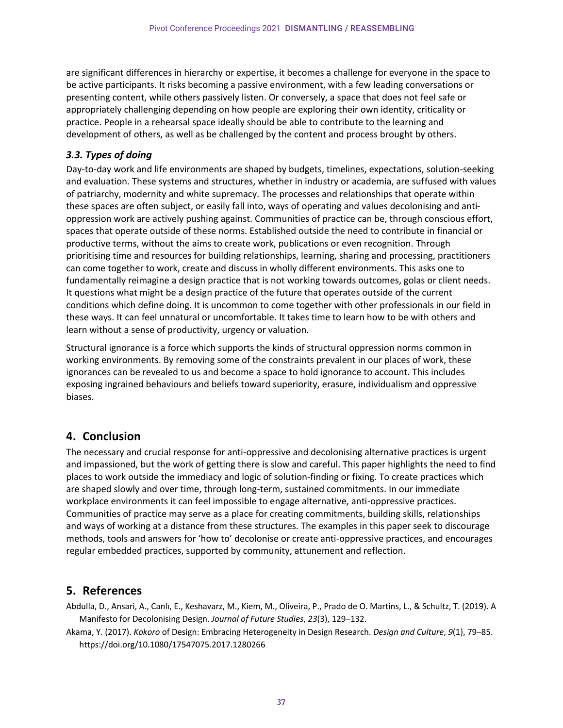are significant differences in hierarchy or expertise, it becomes a challenge for everyone in the space to be active participants. It risks becoming a passive environment, with a few leading conversations or presenting content, while others passively listen. Or conversely, a space that does not feel safe or appropriately challenging depending on how people are exploring their own identity, criticality or practice. People in a rehearsal space ideally should be able to contribute to the learning and development of others, as well as be challenged by the content and process brought by others.

#### *3.3. Types of doing*

Day-to-day work and life environments are shaped by budgets, timelines, expectations, solution-seeking and evaluation. These systems and structures, whether in industry or academia, are suffused with values of patriarchy, modernity and white supremacy. The processes and relationships that operate within these spaces are often subject, or easily fall into, ways of operating and values decolonising and antioppression work are actively pushing against. Communities of practice can be, through conscious effort, spaces that operate outside of these norms. Established outside the need to contribute in financial or productive terms, without the aims to create work, publications or even recognition. Through prioritising time and resources for building relationships, learning, sharing and processing, practitioners can come together to work, create and discuss in wholly different environments. This asks one to fundamentally reimagine a design practice that is not working towards outcomes, golas or client needs. It questions what might be a design practice of the future that operates outside of the current conditions which define doing. It is uncommon to come together with other professionals in our field in these ways. It can feel unnatural or uncomfortable. It takes time to learn how to be with others and learn without a sense of productivity, urgency or valuation.

Structural ignorance is a force which supports the kinds of structural oppression norms common in working environments. By removing some of the constraints prevalent in our places of work, these ignorances can be revealed to us and become a space to hold ignorance to account. This includes exposing ingrained behaviours and beliefs toward superiority, erasure, individualism and oppressive biases.

### **4. Conclusion**

The necessary and crucial response for anti-oppressive and decolonising alternative practices is urgent and impassioned, but the work of getting there is slow and careful. This paper highlights the need to find places to work outside the immediacy and logic of solution-finding or fixing. To create practices which are shaped slowly and over time, through long-term, sustained commitments. In our immediate workplace environments it can feel impossible to engage alternative, anti-oppressive practices. Communities of practice may serve as a place for creating commitments, building skills, relationships and ways of working at a distance from these structures. The examples in this paper seek to discourage methods, tools and answers for 'how to' decolonise or create anti-oppressive practices, and encourages regular embedded practices, supported by community, attunement and reflection.

### **5. References**

Abdulla, D., Ansari, A., Canlı, E., Keshavarz, M., Kiem, M., Oliveira, P., Prado de O. Martins, L., & Schultz, T. (2019). A Manifesto for Decolonising Design. *Journal of Future Studies*, *23*(3), 129–132.

Akama, Y. (2017). *Kokoro* of Design: Embracing Heterogeneity in Design Research. *Design and Culture*, *9*(1), 79–85. https://doi.org/10.1080/17547075.2017.1280266